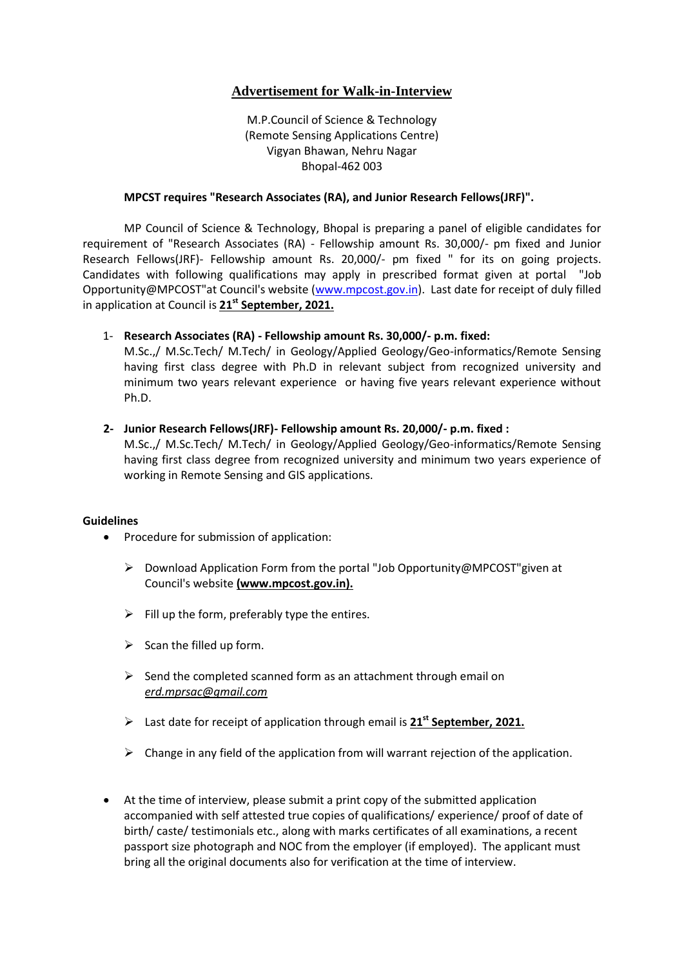## **Advertisement for Walk-in-Interview**

M.P.Council of Science & Technology (Remote Sensing Applications Centre) Vigyan Bhawan, Nehru Nagar Bhopal-462 003

## **MPCST requires "Research Associates (RA), and Junior Research Fellows(JRF)".**

MP Council of Science & Technology, Bhopal is preparing a panel of eligible candidates for requirement of "Research Associates (RA) - Fellowship amount Rs. 30,000/- pm fixed and Junior Research Fellows(JRF)- Fellowship amount Rs. 20,000/- pm fixed " for its on going projects. Candidates with following qualifications may apply in prescribed format given at portal "Job Opportunity@MPCOST"at Council's website [\(www.mpcost.gov.in\)](http://www.mpcost.gov.in/). Last date for receipt of duly filled in application at Council is **21st September, 2021.**

1- **Research Associates (RA) - Fellowship amount Rs. 30,000/- p.m. fixed:**

M.Sc.,/ M.Sc.Tech/ M.Tech/ in Geology/Applied Geology/Geo-informatics/Remote Sensing having first class degree with Ph.D in relevant subject from recognized university and minimum two years relevant experience or having five years relevant experience without Ph.D.

**2- Junior Research Fellows(JRF)- Fellowship amount Rs. 20,000/- p.m. fixed :** 

M.Sc.,/ M.Sc.Tech/ M.Tech/ in Geology/Applied Geology/Geo-informatics/Remote Sensing having first class degree from recognized university and minimum two years experience of working in Remote Sensing and GIS applications.

## **Guidelines**

- Procedure for submission of application:
	- Download Application Form from the portal "Job Opportunity@MPCOST"given at Council's website **(www.mpcost.gov.in).**
	- $\triangleright$  Fill up the form, preferably type the entires.
	- $\triangleright$  Scan the filled up form.
	- $\triangleright$  Send the completed scanned form as an attachment through email on *erd.mprsac@gmail.com*
	- Last date for receipt of application through email is **21st September, 2021.**
	- $\triangleright$  Change in any field of the application from will warrant rejection of the application.
- At the time of interview, please submit a print copy of the submitted application accompanied with self attested true copies of qualifications/ experience/ proof of date of birth/ caste/ testimonials etc., along with marks certificates of all examinations, a recent passport size photograph and NOC from the employer (if employed). The applicant must bring all the original documents also for verification at the time of interview.